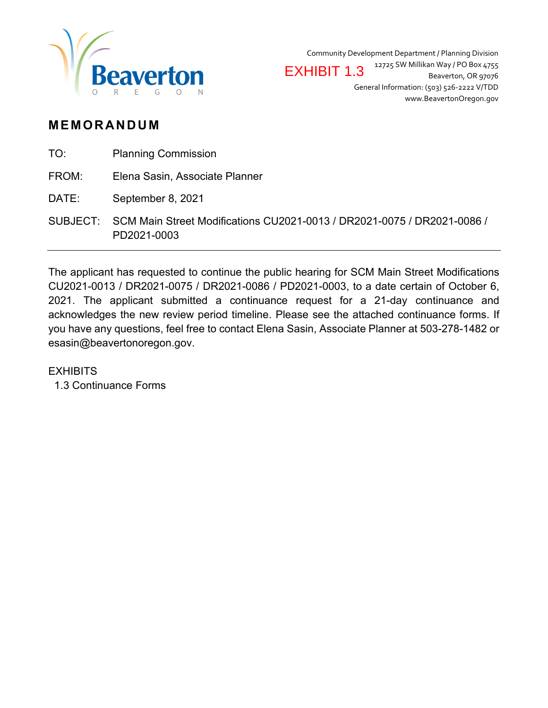

Community Development Department / Planning Division 12725 SW Millikan Way / PO Box 4755 Beaverton, OR 97076 General Information: (503) 526-2222 V/TDD www.BeavertonOregon.gov EXHIBIT 1.3

### **MEMORANDUM**

| TO:   | <b>Planning Commission</b>                                                                      |
|-------|-------------------------------------------------------------------------------------------------|
| FROM: | Elena Sasin, Associate Planner                                                                  |
| DATE: | September 8, 2021                                                                               |
|       | SUBJECT: SCM Main Street Modifications CU2021-0013 / DR2021-0075 / DR2021-0086 /<br>PD2021-0003 |

The applicant has requested to continue the public hearing for SCM Main Street Modifications CU2021-0013 / DR2021-0075 / DR2021-0086 / PD2021-0003, to a date certain of October 6, 2021. The applicant submitted a continuance request for a 21-day continuance and acknowledges the new review period timeline. Please see the attached continuance forms. If you have any questions, feel free to contact Elena Sasin, Associate Planner at 503-278-1482 or esasin@beavertonoregon.gov.

### **EXHIBITS**

1.3 Continuance Forms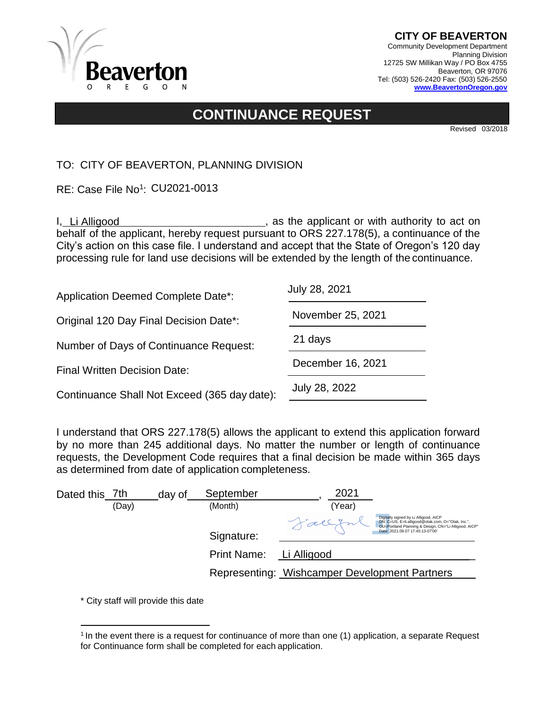

# **CONTINUANCE REQUEST**

Revised 03/2018

TO: CITY OF BEAVERTON, PLANNING DIVISION

RE: Case File No<sup>1</sup>: CU2021-0013

| RE: Case File No <sup>1</sup> : CU2021-0013                                                                                                                                                                                                                                                                                     |                                                |
|---------------------------------------------------------------------------------------------------------------------------------------------------------------------------------------------------------------------------------------------------------------------------------------------------------------------------------|------------------------------------------------|
| I, Li Alligood<br>behalf of the applicant, hereby request pursuant to ORS 227.178(5), a continuance of the<br>City's action on this case file. I understand and accept that the State of Oregon's 120 day<br>processing rule for land use decisions will be extended by the length of the continuance.                          | s as the applicant or with authority to act on |
| <b>Application Deemed Complete Date*:</b>                                                                                                                                                                                                                                                                                       | July 28, 2021                                  |
| Original 120 Day Final Decision Date*:                                                                                                                                                                                                                                                                                          | November 25, 2021                              |
| Number of Days of Continuance Request:                                                                                                                                                                                                                                                                                          | 21 days                                        |
| <b>Final Written Decision Date:</b>                                                                                                                                                                                                                                                                                             | December 16, 2021                              |
| Continuance Shall Not Exceed (365 day date):                                                                                                                                                                                                                                                                                    | July 28, 2022                                  |
| I understand that ORS 227.178(5) allows the applicant to extend this application forward<br>by no more than 245 additional days. No matter the number or length of continuance<br>requests, the Development Code requires that a final decision be made within 365 days<br>as determined from date of application completeness. |                                                |
| September<br>Dated this 7th<br>day of                                                                                                                                                                                                                                                                                           | 2021                                           |

| Dated this 7th |       | day of | September          | 2021                                          |                                                                                                                                                                                         |
|----------------|-------|--------|--------------------|-----------------------------------------------|-----------------------------------------------------------------------------------------------------------------------------------------------------------------------------------------|
|                | (Day) |        | (Month)            | (Year)                                        |                                                                                                                                                                                         |
|                |       |        | Signature:         | Fallifr                                       | Digitally signed by Li Alligood, AICP<br>DN: C=US, E=li.alligood@otak.com, O="Otak, Inc.",<br>OU=Portland Planning & Design, CN="Li Alligood, AICP"<br>Date: 2021.09.07 17:45:13-07'00' |
|                |       |        | <b>Print Name:</b> | Li Alligood                                   |                                                                                                                                                                                         |
|                |       |        |                    | Representing: Wishcamper Development Partners |                                                                                                                                                                                         |

<sup>&</sup>lt;sup>1</sup> In the event there is a request for continuance of more than one (1) application, a separate Request for Continuance form shall be completed for each application.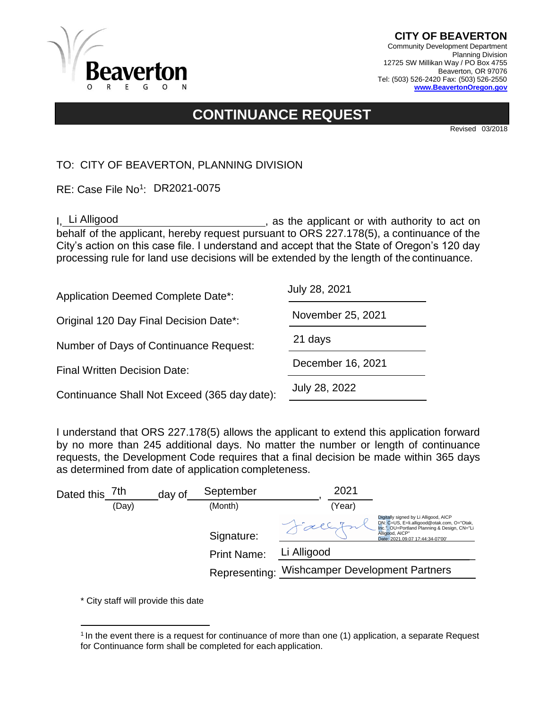

# **CONTINUANCE REQUEST**

Revised 03/2018

TO: CITY OF BEAVERTON, PLANNING DIVISION

RE: Case File No<sup>1</sup>: DR2021-0075

| RE: Case File No <sup>1</sup> : DR2021-0075                                                                                                                                                                                                                                                                                     |                                                   |
|---------------------------------------------------------------------------------------------------------------------------------------------------------------------------------------------------------------------------------------------------------------------------------------------------------------------------------|---------------------------------------------------|
| I. Li Alligood<br>behalf of the applicant, hereby request pursuant to ORS 227.178(5), a continuance of the<br>City's action on this case file. I understand and accept that the State of Oregon's 120 day<br>processing rule for land use decisions will be extended by the length of the continuance.                          | sall as the applicant or with authority to act on |
| <b>Application Deemed Complete Date*:</b>                                                                                                                                                                                                                                                                                       | July 28, 2021                                     |
| Original 120 Day Final Decision Date*:                                                                                                                                                                                                                                                                                          | November 25, 2021                                 |
| Number of Days of Continuance Request:                                                                                                                                                                                                                                                                                          | 21 days                                           |
| <b>Final Written Decision Date:</b>                                                                                                                                                                                                                                                                                             | December 16, 2021                                 |
| Continuance Shall Not Exceed (365 day date):                                                                                                                                                                                                                                                                                    | July 28, 2022                                     |
| I understand that ORS 227.178(5) allows the applicant to extend this application forward<br>by no more than 245 additional days. No matter the number or length of continuance<br>requests, the Development Code requires that a final decision be made within 365 days<br>as determined from date of application completeness. |                                                   |
| September<br>Dated this 7th<br>day of                                                                                                                                                                                                                                                                                           | 2021                                              |

| Dated this | 7th   | day of | September          | 2021                                                                                                                                                                                       |
|------------|-------|--------|--------------------|--------------------------------------------------------------------------------------------------------------------------------------------------------------------------------------------|
|            | (Day) |        | (Month)            | (Year)                                                                                                                                                                                     |
|            |       |        | Signature:         | Digitally signed by Li Alligood, AICP<br>DN: C=US, E=li.alligood@otak.com, O="Otak,<br>Inc.", OU=Portland Planning & Design, CN="Li<br>Alligood, AICP"<br>Date: 2021.09.07 17:44:34-07'00' |
|            |       |        | <b>Print Name:</b> | Li Alligood                                                                                                                                                                                |
|            |       |        |                    | Representing: Wishcamper Development Partners                                                                                                                                              |

<sup>&</sup>lt;sup>1</sup> In the event there is a request for continuance of more than one (1) application, a separate Request for Continuance form shall be completed for each application.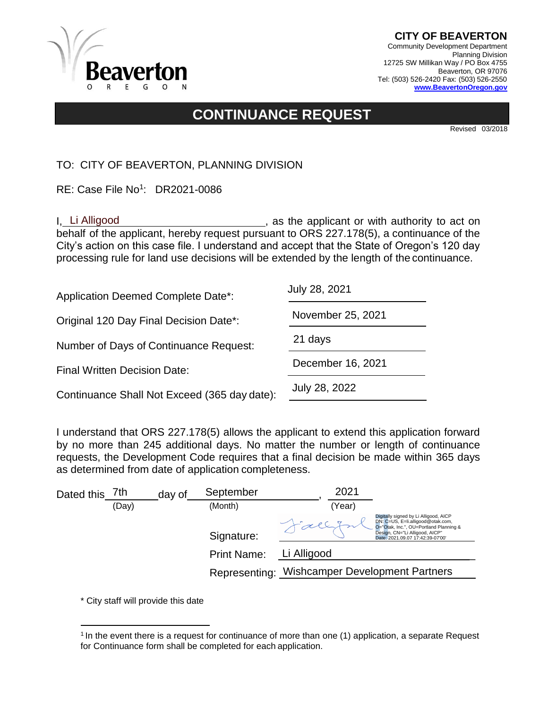

# **CONTINUANCE REQUEST**

Revised 03/2018

TO: CITY OF BEAVERTON, PLANNING DIVISION

RE: Case File No<sup>1</sup>: DR2021-0086 Beautiful Square Building 1999

| RE: Case File No <sup>1</sup> : DR2021-0086                                                                                                                                                                                                                                                                                     |                                                |
|---------------------------------------------------------------------------------------------------------------------------------------------------------------------------------------------------------------------------------------------------------------------------------------------------------------------------------|------------------------------------------------|
| I. Li Alligood<br>behalf of the applicant, hereby request pursuant to ORS 227.178(5), a continuance of the<br>City's action on this case file. I understand and accept that the State of Oregon's 120 day<br>processing rule for land use decisions will be extended by the length of the continuance.                          | s as the applicant or with authority to act on |
| <b>Application Deemed Complete Date*:</b>                                                                                                                                                                                                                                                                                       | July 28, 2021                                  |
| Original 120 Day Final Decision Date*:                                                                                                                                                                                                                                                                                          | November 25, 2021                              |
| Number of Days of Continuance Request:                                                                                                                                                                                                                                                                                          | 21 days                                        |
| <b>Final Written Decision Date:</b>                                                                                                                                                                                                                                                                                             | December 16, 2021                              |
| Continuance Shall Not Exceed (365 day date):                                                                                                                                                                                                                                                                                    | July 28, 2022                                  |
| I understand that ORS 227.178(5) allows the applicant to extend this application forward<br>by no more than 245 additional days. No matter the number or length of continuance<br>requests, the Development Code requires that a final decision be made within 365 days<br>as determined from date of application completeness. |                                                |
| September<br>7th<br>Dated this<br>dav of                                                                                                                                                                                                                                                                                        | 2021                                           |

| Dated this | 7th   | day of | September          | 2021                                                                                                                                                                                       |
|------------|-------|--------|--------------------|--------------------------------------------------------------------------------------------------------------------------------------------------------------------------------------------|
|            | (Day) |        | (Month)            | (Year)                                                                                                                                                                                     |
|            |       |        | Signature:         | Digitally signed by Li Alligood, AICP<br>DN: C=US, E=li.alligood@otak.com,<br>O="Otak, Inc.", OU=Portland Planning &<br>Design, CN="Li Alligood, AICP"<br>Date: 2021.09.07 17:42:39-07'00' |
|            |       |        | <b>Print Name:</b> | Li Alligood                                                                                                                                                                                |
|            |       |        |                    | Representing: Wishcamper Development Partners                                                                                                                                              |

<sup>&</sup>lt;sup>1</sup> In the event there is a request for continuance of more than one (1) application, a separate Request for Continuance form shall be completed for each application.